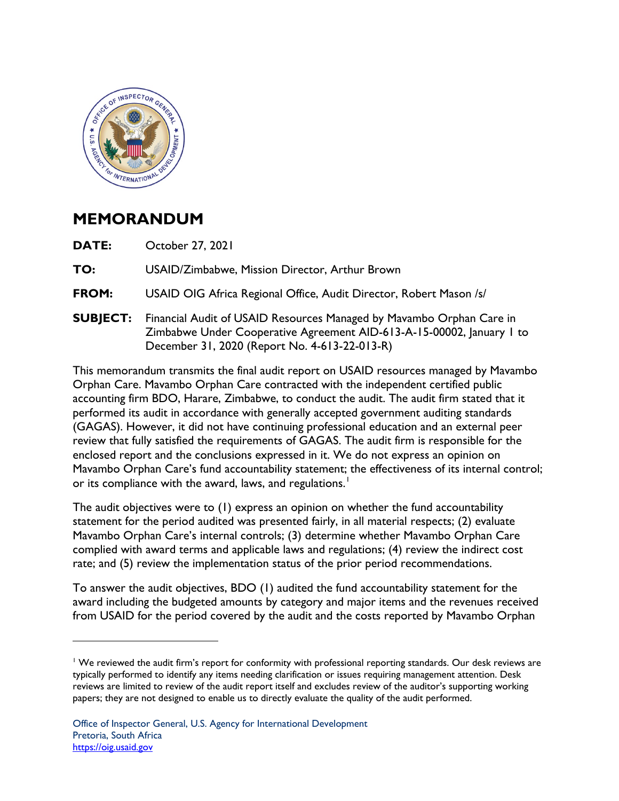

## **MEMORANDUM**

**DATE:** October 27, 2021

TO: **TO:** USAID/Zimbabwe, Mission Director, Arthur Brown

**FROM:** USAID OIG Africa Regional Office, Audit Director, Robert Mason /s/

**SUBJECT:** Financial Audit of USAID Resources Managed by Mavambo Orphan Care in Zimbabwe Under Cooperative Agreement AID-613-A-15-00002, January 1 to December 31, 2020 (Report No. 4-613-22-013-R)

 Mavambo Orphan Care's fund accountability statement; the effectiveness of its internal control; This memorandum transmits the final audit report on USAID resources managed by Mavambo Orphan Care. Mavambo Orphan Care contracted with the independent certified public accounting firm BDO, Harare, Zimbabwe, to conduct the audit. The audit firm stated that it performed its audit in accordance with generally accepted government auditing standards (GAGAS). However, it did not have continuing professional education and an external peer review that fully satisfied the requirements of GAGAS. The audit firm is responsible for the enclosed report and the conclusions expressed in it. We do not express an opinion on or its compliance with the award, laws, and regulations.<sup>1</sup>

The audit objectives were to (1) express an opinion on whether the fund accountability statement for the period audited was presented fairly, in all material respects; (2) evaluate Mavambo Orphan Care's internal controls; (3) determine whether Mavambo Orphan Care complied with award terms and applicable laws and regulations; (4) review the indirect cost rate; and (5) review the implementation status of the prior period recommendations.

 from USAID for the period covered by the audit and the costs reported by Mavambo Orphan To answer the audit objectives, BDO (1) audited the fund accountability statement for the award including the budgeted amounts by category and major items and the revenues received

 $1$  We reviewed the audit firm's report for conformity with professional reporting standards. Our desk reviews are typically performed to identify any items needing clarification or issues requiring management attention. Desk reviews are limited to review of the audit report itself and excludes review of the auditor's supporting working papers; they are not designed to enable us to directly evaluate the quality of the audit performed.